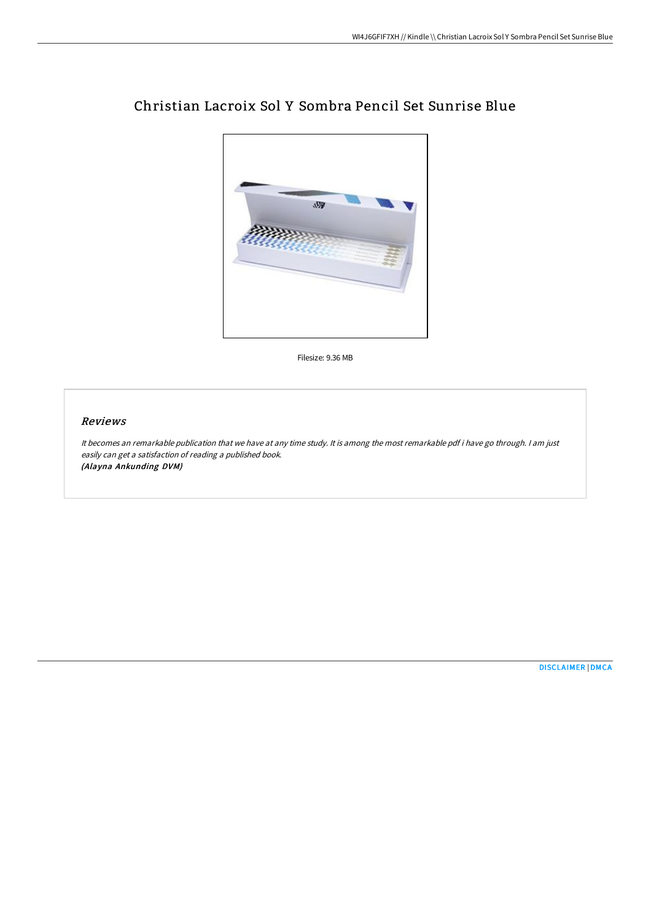

# Christian Lacroix Sol Y Sombra Pencil Set Sunrise Blue

Filesize: 9.36 MB

## Reviews

It becomes an remarkable publication that we have at any time study. It is among the most remarkable pdf i have go through. <sup>I</sup> am just easily can get <sup>a</sup> satisfaction of reading <sup>a</sup> published book. (Alayna Ankunding DVM)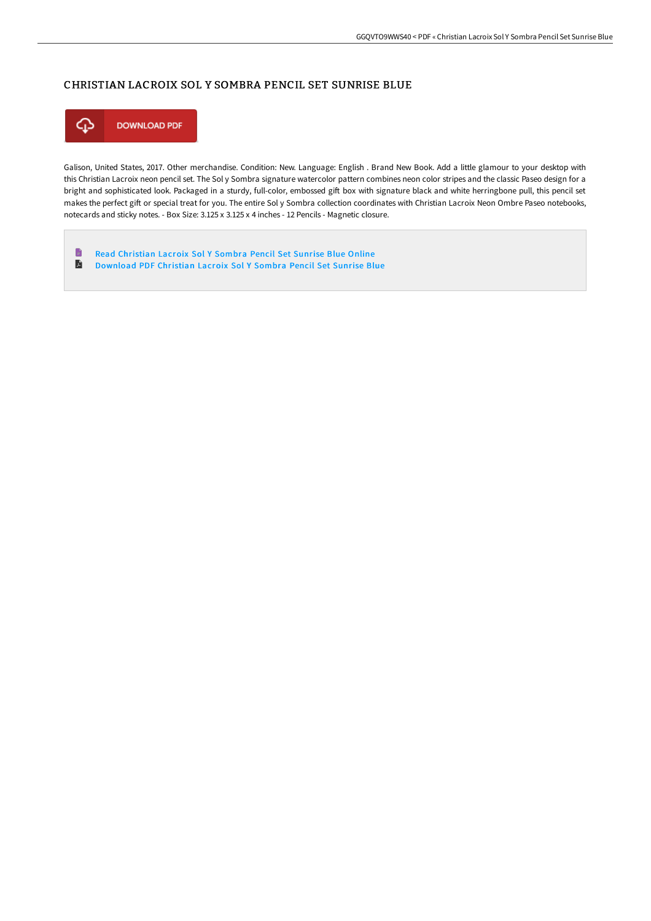# CHRISTIAN LACROIX SOL Y SOMBRA PENCIL SET SUNRISE BLUE



Galison, United States, 2017. Other merchandise. Condition: New. Language: English . Brand New Book. Add a little glamour to your desktop with this Christian Lacroix neon pencil set. The Sol y Sombra signature watercolor pattern combines neon color stripes and the classic Paseo design for a bright and sophisticated look. Packaged in a sturdy, full-color, embossed gift box with signature black and white herringbone pull, this pencil set makes the perfect gift or special treat for you. The entire Sol y Sombra collection coordinates with Christian Lacroix Neon Ombre Paseo notebooks, notecards and sticky notes. - Box Size: 3.125 x 3.125 x 4 inches - 12 Pencils - Magnetic closure.

 $\blacksquare$ Read [Christian](http://albedo.media/christian-lacroix-sol-y-sombra-pencil-set-sunris.html) Lacroix Sol Y Sombra Pencil Set Sunrise Blue Online  $\mathbf{E}$ [Download](http://albedo.media/christian-lacroix-sol-y-sombra-pencil-set-sunris.html) PDF Christian Lacroix Sol Y Sombra Pencil Set Sunrise Blue